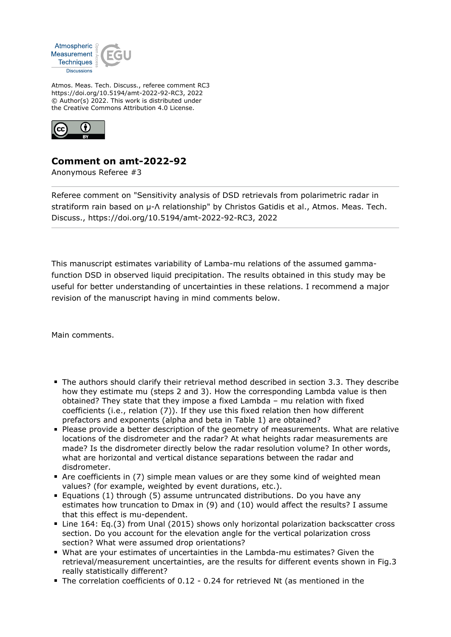

Atmos. Meas. Tech. Discuss., referee comment RC3 https://doi.org/10.5194/amt-2022-92-RC3, 2022 © Author(s) 2022. This work is distributed under the Creative Commons Attribution 4.0 License.



## **Comment on amt-2022-92**

Anonymous Referee #3

Referee comment on "Sensitivity analysis of DSD retrievals from polarimetric radar in stratiform rain based on μ-Λ relationship" by Christos Gatidis et al., Atmos. Meas. Tech. Discuss., https://doi.org/10.5194/amt-2022-92-RC3, 2022

This manuscript estimates variability of Lamba-mu relations of the assumed gammafunction DSD in observed liquid precipitation. The results obtained in this study may be useful for better understanding of uncertainties in these relations. I recommend a major revision of the manuscript having in mind comments below.

Main comments.

- The authors should clarify their retrieval method described in section 3.3. They describe how they estimate mu (steps 2 and 3). How the corresponding Lambda value is then obtained? They state that they impose a fixed Lambda – mu relation with fixed coefficients (i.e., relation (7)). If they use this fixed relation then how different prefactors and exponents (alpha and beta in Table 1) are obtained?
- **Please provide a better description of the geometry of measurements. What are relative** locations of the disdrometer and the radar? At what heights radar measurements are made? Is the disdrometer directly below the radar resolution volume? In other words, what are horizontal and vertical distance separations between the radar and disdrometer.
- Are coefficients in (7) simple mean values or are they some kind of weighted mean values? (for example, weighted by event durations, etc.).
- Equations (1) through (5) assume untruncated distributions. Do you have any estimates how truncation to Dmax in (9) and (10) would affect the results? I assume that this effect is mu-dependent.
- Line 164: Eq.(3) from Unal (2015) shows only horizontal polarization backscatter cross section. Do you account for the elevation angle for the vertical polarization cross section? What were assumed drop orientations?
- What are your estimates of uncertainties in the Lambda-mu estimates? Given the retrieval/measurement uncertainties, are the results for different events shown in Fig.3 really statistically different?
- The correlation coefficients of 0.12 0.24 for retrieved Nt (as mentioned in the